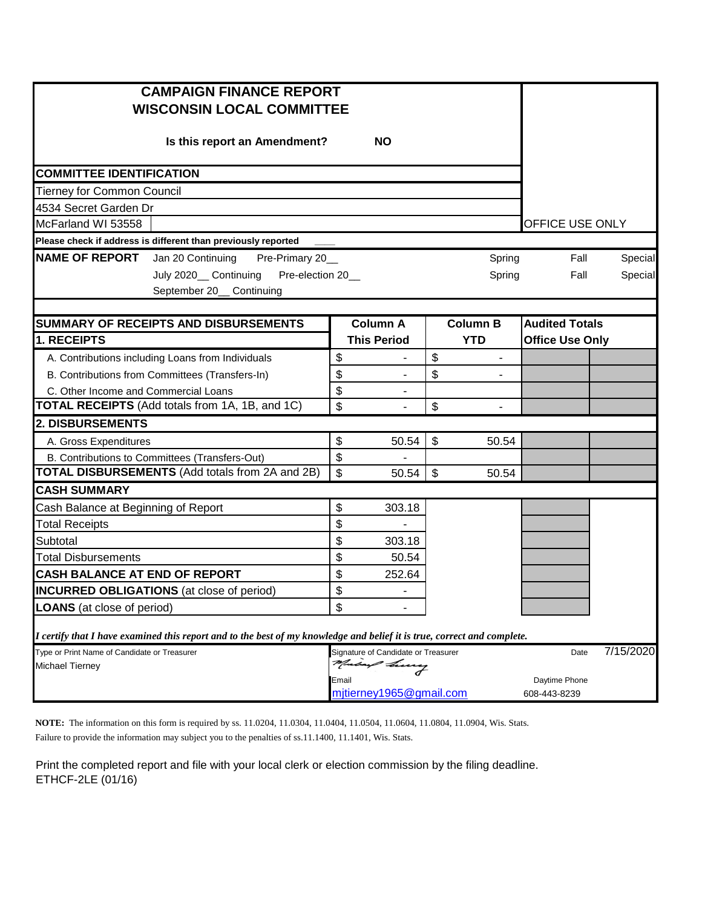| <b>CAMPAIGN FINANCE REPORT</b><br><b>WISCONSIN LOCAL COMMITTEE</b>                                                      |       |                                     |                      |                        |           |
|-------------------------------------------------------------------------------------------------------------------------|-------|-------------------------------------|----------------------|------------------------|-----------|
| Is this report an Amendment?                                                                                            |       | <b>NO</b>                           |                      |                        |           |
| <b>COMMITTEE IDENTIFICATION</b>                                                                                         |       |                                     |                      |                        |           |
| Tierney for Common Council                                                                                              |       |                                     |                      |                        |           |
| 4534 Secret Garden Dr                                                                                                   |       |                                     |                      |                        |           |
| McFarland WI 53558                                                                                                      |       |                                     |                      | OFFICE USE ONLY        |           |
| Please check if address is different than previously reported                                                           |       |                                     |                      |                        |           |
| <b>NAME OF REPORT</b><br>Jan 20 Continuing<br>Pre-Primary 20_                                                           |       |                                     | Spring               | Fall                   | Special   |
| July 2020__ Continuing<br>Pre-election 20_<br>September 20__ Continuing                                                 |       |                                     | Spring               | Fall                   | Special   |
| SUMMARY OF RECEIPTS AND DISBURSEMENTS                                                                                   |       | <b>Column A</b>                     | <b>Column B</b>      | <b>Audited Totals</b>  |           |
| 1. RECEIPTS                                                                                                             |       | <b>This Period</b>                  | <b>YTD</b>           | <b>Office Use Only</b> |           |
| A. Contributions including Loans from Individuals                                                                       | \$    | ۰                                   | \$<br>$\blacksquare$ |                        |           |
| B. Contributions from Committees (Transfers-In)                                                                         | \$    |                                     | \$                   |                        |           |
| C. Other Income and Commercial Loans                                                                                    | \$    |                                     |                      |                        |           |
| <b>TOTAL RECEIPTS</b> (Add totals from 1A, 1B, and 1C)                                                                  | \$    |                                     | \$<br>ä,             |                        |           |
| 2. DISBURSEMENTS                                                                                                        |       |                                     |                      |                        |           |
| A. Gross Expenditures                                                                                                   | \$    | 50.54                               | \$<br>50.54          |                        |           |
| B. Contributions to Committees (Transfers-Out)                                                                          | \$    |                                     |                      |                        |           |
| <b>TOTAL DISBURSEMENTS</b> (Add totals from 2A and 2B)                                                                  | \$    | 50.54                               | \$<br>50.54          |                        |           |
| <b>CASH SUMMARY</b>                                                                                                     |       |                                     |                      |                        |           |
| Cash Balance at Beginning of Report                                                                                     | \$    | 303.18                              |                      |                        |           |
| <b>Total Receipts</b>                                                                                                   | \$    |                                     |                      |                        |           |
| Subtotal                                                                                                                | \$    | 303.18                              |                      |                        |           |
| <b>Total Disbursements</b>                                                                                              | \$    | 50.54                               |                      |                        |           |
| <b>CASH BALANCE AT END OF REPORT</b>                                                                                    | \$    | 252.64                              |                      |                        |           |
| <b>INCURRED OBLIGATIONS</b> (at close of period)                                                                        | \$    | ٠                                   |                      |                        |           |
| <b>LOANS</b> (at close of period)                                                                                       | \$    |                                     |                      |                        |           |
| I certify that I have examined this report and to the best of my knowledge and belief it is true, correct and complete. |       |                                     |                      |                        |           |
| Type or Print Name of Candidate or Treasurer                                                                            |       | Signature of Candidate or Treasurer |                      | Date                   | 7/15/2020 |
| <b>Michael Tierney</b>                                                                                                  |       | a Linny                             |                      |                        |           |
|                                                                                                                         | Email |                                     |                      | Daytime Phone          |           |
|                                                                                                                         |       | mitierney1965@gmail.com             |                      | 608-443-8239           |           |

**NOTE:** The information on this form is required by ss. 11.0204, 11.0304, 11.0404, 11.0504, 11.0604, 11.0804, 11.0904, Wis. Stats. Failure to provide the information may subject you to the penalties of ss.11.1400, 11.1401, Wis. Stats.

Print the completed report and file with your local clerk or election commission by the filing deadline. ETHCF-2LE (01/16)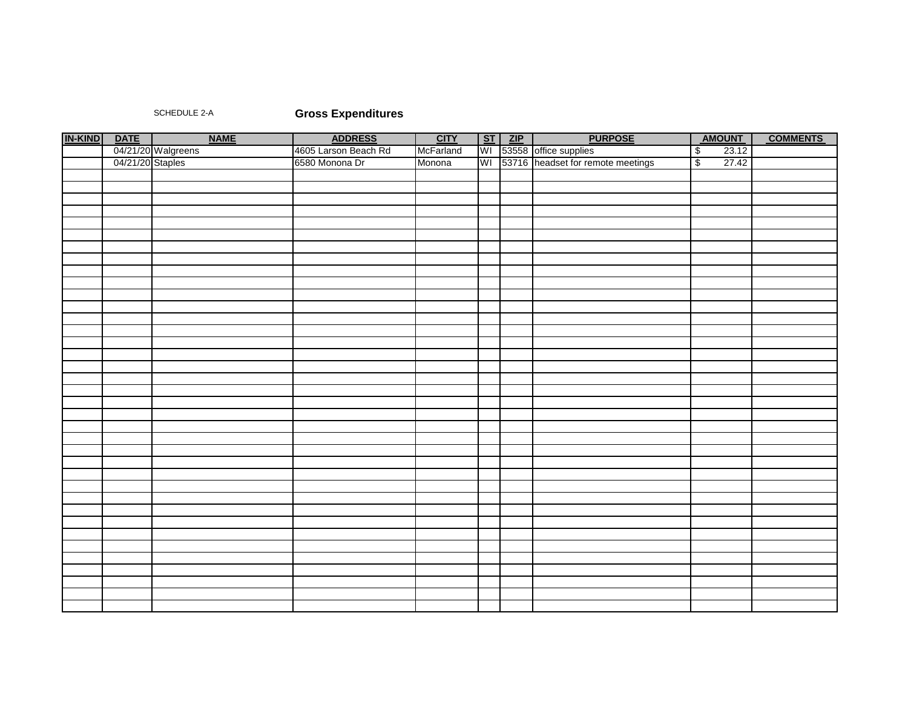## SCHEDULE 2-A **Gross Expenditures**

| <u>IN-KIND</u> | <u>DATE</u>      | <b>NAME</b>        | <b>ADDRESS</b>       | <u>CITY</u> |  |                                                                                                       | <b>AMOUNT</b>                    | <b>COMMENTS</b> |
|----------------|------------------|--------------------|----------------------|-------------|--|-------------------------------------------------------------------------------------------------------|----------------------------------|-----------------|
|                |                  | 04/21/20 Walgreens | 4605 Larson Beach Rd | McFarland   |  | <b>ST   ZIP   PURPOSE</b><br>WI   53558   office supplies<br>WI   53716   headset for remote meetings | 23.12<br>$\sqrt[6]{\frac{1}{2}}$ |                 |
|                | 04/21/20 Staples |                    | 6580 Monona Dr       | Monona      |  |                                                                                                       | $\sqrt[6]{\frac{2}{5}}$<br>27.42 |                 |
|                |                  |                    |                      |             |  |                                                                                                       |                                  |                 |
|                |                  |                    |                      |             |  |                                                                                                       |                                  |                 |
|                |                  |                    |                      |             |  |                                                                                                       |                                  |                 |
|                |                  |                    |                      |             |  |                                                                                                       |                                  |                 |
|                |                  |                    |                      |             |  |                                                                                                       |                                  |                 |
|                |                  |                    |                      |             |  |                                                                                                       |                                  |                 |
|                |                  |                    |                      |             |  |                                                                                                       |                                  |                 |
|                |                  |                    |                      |             |  |                                                                                                       |                                  |                 |
|                |                  |                    |                      |             |  |                                                                                                       |                                  |                 |
|                |                  |                    |                      |             |  |                                                                                                       |                                  |                 |
|                |                  |                    |                      |             |  |                                                                                                       |                                  |                 |
|                |                  |                    |                      |             |  |                                                                                                       |                                  |                 |
|                |                  |                    |                      |             |  |                                                                                                       |                                  |                 |
|                |                  |                    |                      |             |  |                                                                                                       |                                  |                 |
|                |                  |                    |                      |             |  |                                                                                                       |                                  |                 |
|                |                  |                    |                      |             |  |                                                                                                       |                                  |                 |
|                |                  |                    |                      |             |  |                                                                                                       |                                  |                 |
|                |                  |                    |                      |             |  |                                                                                                       |                                  |                 |
|                |                  |                    |                      |             |  |                                                                                                       |                                  |                 |
|                |                  |                    |                      |             |  |                                                                                                       |                                  |                 |
|                |                  |                    |                      |             |  |                                                                                                       |                                  |                 |
|                |                  |                    |                      |             |  |                                                                                                       |                                  |                 |
|                |                  |                    |                      |             |  |                                                                                                       |                                  |                 |
|                |                  |                    |                      |             |  |                                                                                                       |                                  |                 |
|                |                  |                    |                      |             |  |                                                                                                       |                                  |                 |
|                |                  |                    |                      |             |  |                                                                                                       |                                  |                 |
|                |                  |                    |                      |             |  |                                                                                                       |                                  |                 |
|                |                  |                    |                      |             |  |                                                                                                       |                                  |                 |
|                |                  |                    |                      |             |  |                                                                                                       |                                  |                 |
|                |                  |                    |                      |             |  |                                                                                                       |                                  |                 |
|                |                  |                    |                      |             |  |                                                                                                       |                                  |                 |
|                |                  |                    |                      |             |  |                                                                                                       |                                  |                 |
|                |                  |                    |                      |             |  |                                                                                                       |                                  |                 |
|                |                  |                    |                      |             |  |                                                                                                       |                                  |                 |
|                |                  |                    |                      |             |  |                                                                                                       |                                  |                 |
|                |                  |                    |                      |             |  |                                                                                                       |                                  |                 |
|                |                  |                    |                      |             |  |                                                                                                       |                                  |                 |